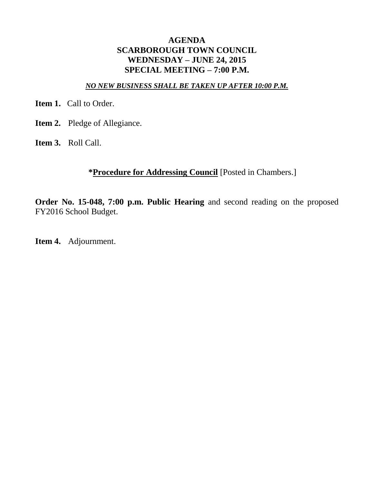## **AGENDA SCARBOROUGH TOWN COUNCIL WEDNESDAY – JUNE 24, 2015 SPECIAL MEETING – 7:00 P.M.**

### *NO NEW BUSINESS SHALL BE TAKEN UP AFTER 10:00 P.M.*

**Item 1.** Call to Order.

- **Item 2.** Pledge of Allegiance.
- **Item 3.** Roll Call.

# **\*Procedure for Addressing Council** [Posted in Chambers.]

**Order No. 15-048, 7:00 p.m. Public Hearing** and second reading on the proposed FY2016 School Budget.

**Item 4.** Adjournment.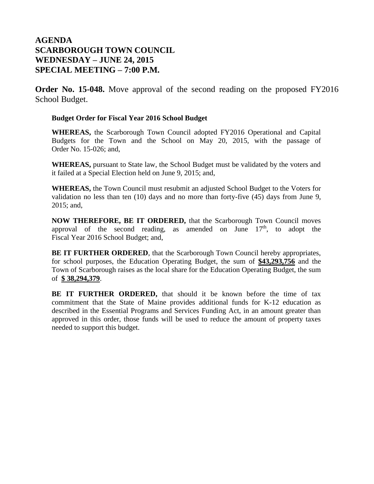# **AGENDA SCARBOROUGH TOWN COUNCIL WEDNESDAY – JUNE 24, 2015 SPECIAL MEETING – 7:00 P.M.**

**Order No. 15-048.** Move approval of the second reading on the proposed FY2016 School Budget.

#### **Budget Order for Fiscal Year 2016 School Budget**

**WHEREAS,** the Scarborough Town Council adopted FY2016 Operational and Capital Budgets for the Town and the School on May 20, 2015, with the passage of Order No. 15-026; and,

**WHEREAS,** pursuant to State law, the School Budget must be validated by the voters and it failed at a Special Election held on June 9, 2015; and,

**WHEREAS,** the Town Council must resubmit an adjusted School Budget to the Voters for validation no less than ten (10) days and no more than forty-five (45) days from June 9, 2015; and,

**NOW THEREFORE, BE IT ORDERED,** that the Scarborough Town Council moves approval of the second reading, as amended on June  $17<sup>th</sup>$ , to adopt the Fiscal Year 2016 School Budget; and,

**BE IT FURTHER ORDERED**, that the Scarborough Town Council hereby appropriates, for school purposes, the Education Operating Budget, the sum of **\$43,293,756** and the Town of Scarborough raises as the local share for the Education Operating Budget, the sum of **\$ 38,294,379**.

**BE IT FURTHER ORDERED,** that should it be known before the time of tax commitment that the State of Maine provides additional funds for K-12 education as described in the Essential Programs and Services Funding Act, in an amount greater than approved in this order, those funds will be used to reduce the amount of property taxes needed to support this budget.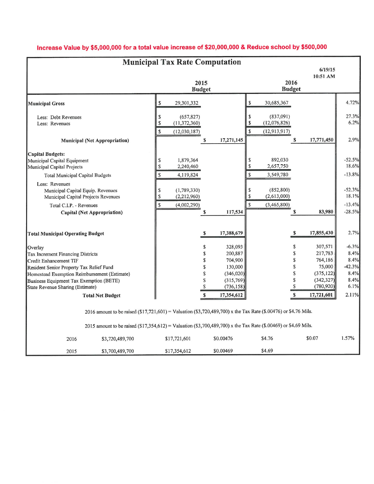| <b>Municipal Tax Rate Computation</b>                                                                                                                                                                                                  |                                                                                                                                                                                                                                    |                                                                                                          |                                           |                                                                       |                               |                                                                |                                                                        |                                                    |  |
|----------------------------------------------------------------------------------------------------------------------------------------------------------------------------------------------------------------------------------------|------------------------------------------------------------------------------------------------------------------------------------------------------------------------------------------------------------------------------------|----------------------------------------------------------------------------------------------------------|-------------------------------------------|-----------------------------------------------------------------------|-------------------------------|----------------------------------------------------------------|------------------------------------------------------------------------|----------------------------------------------------|--|
|                                                                                                                                                                                                                                        |                                                                                                                                                                                                                                    |                                                                                                          |                                           |                                                                       |                               |                                                                | 6/19/15<br>10:51 AM                                                    |                                                    |  |
|                                                                                                                                                                                                                                        |                                                                                                                                                                                                                                    |                                                                                                          | 2015<br><b>Budget</b>                     |                                                                       |                               | 2016<br><b>Budget</b>                                          |                                                                        |                                                    |  |
| <b>Municipal Gross</b>                                                                                                                                                                                                                 |                                                                                                                                                                                                                                    | \$<br>29,301,332                                                                                         |                                           |                                                                       | \$                            | 30,685,367                                                     |                                                                        | 4.72%                                              |  |
| Less: Debt Revenues<br>Less: Revenues                                                                                                                                                                                                  |                                                                                                                                                                                                                                    | \$<br>(657, 827)<br>$\mathbb{S}$<br>(11, 372, 360)<br>\$<br>(12,030,187)                                 |                                           |                                                                       | \$<br>$\pmb{\mathbb{S}}$<br>S | (837,091)<br>(12,076,826)<br>(12, 913, 917)                    |                                                                        | 27.3%<br>6.2%                                      |  |
|                                                                                                                                                                                                                                        | <b>Municipal (Net Appropriation)</b>                                                                                                                                                                                               |                                                                                                          | \$                                        | 17,271,145                                                            |                               | S                                                              | 17,771,450                                                             | 2.9%                                               |  |
| <b>Capital Budgets:</b><br>Municipal Capital Equipment<br>Municipal Capital Projects<br><b>Total Municipal Capital Budgets</b><br>Less: Revenues<br>Municipal Capital Equip. Revenues<br>Municipal Capital Projects Revenues           |                                                                                                                                                                                                                                    | 1,879,364<br>\$<br>\$<br>2,240,460<br>$\mathsf S$<br>4,119,824<br>\$<br>(1,789,330)<br>\$<br>(2,212,960) |                                           |                                                                       | \$<br>\$<br>S<br>\$<br>\$     | 892,030<br>2,657,750<br>3,549,780<br>(852, 800)<br>(2,613,000) |                                                                        | $-52.5%$<br>18.6%<br>$-13.8%$<br>$-52.3%$<br>18.1% |  |
| Total C.I.P. - Revenues<br>Capital (Net Appropriation)                                                                                                                                                                                 |                                                                                                                                                                                                                                    | \$<br>(4,002,290)                                                                                        | \$                                        | 117,534                                                               | $\mathbf{\hat{S}}$            | (3,465,800)<br>S                                               | 83,980                                                                 | $-13.4%$<br>$-28.5%$                               |  |
| <b>Total Municipal Operating Budget</b>                                                                                                                                                                                                |                                                                                                                                                                                                                                    |                                                                                                          | $\boldsymbol{s}$                          | 17,388,679                                                            |                               | S                                                              | 17,855,430                                                             | 2.7%                                               |  |
| Overlay                                                                                                                                                                                                                                |                                                                                                                                                                                                                                    |                                                                                                          | \$                                        | 328,093                                                               |                               | $\$$                                                           | 307,571                                                                | $-6.3%$                                            |  |
| Tax Increment Financing Districts<br>Credit Enhancement TIF<br>Resident Senior Property Tax Relief Fund<br>Homestead Exemption Reimbursement (Estimate)<br>Business Equipment Tax Exemption (BETE)<br>State Revenue Sharing (Estimate) |                                                                                                                                                                                                                                    |                                                                                                          | \$<br>\$<br>\$<br>\$<br>$\mathbb S$<br>\$ | 200,887<br>704,900<br>130,000<br>(346,020)<br>(315,769)<br>(736, 158) |                               | \$<br>\$<br>\$<br>\$<br>${\mathbb S}$<br>$\mathbb S$           | 217,783<br>764,186<br>75,000<br>(375, 122)<br>(342, 327)<br>(780, 920) | 8.4%<br>8.4%<br>$-42.3%$<br>8.4%<br>8.4%<br>6.1%   |  |
|                                                                                                                                                                                                                                        | <b>Total Net Budget</b>                                                                                                                                                                                                            |                                                                                                          | \$                                        | 17,354,612                                                            |                               | S                                                              | 17,721,601                                                             | 2.11%                                              |  |
|                                                                                                                                                                                                                                        | 2016 amount to be raised (\$17,721,601) = Valuation (\$3,720,489,700) x the Tax Rate (\$.00476) or \$4.76 Mils.<br>2015 amount to be raised (\$17,354,612) = Valuation (\$3,700,489,700) x the Tax Rate (\$.00469) or \$4.69 Mils. |                                                                                                          |                                           |                                                                       |                               |                                                                |                                                                        |                                                    |  |
| 2016                                                                                                                                                                                                                                   | \$3,720,489,700                                                                                                                                                                                                                    | \$17,721,601                                                                                             |                                           | \$0.00476                                                             | \$4.76                        |                                                                | \$0.07                                                                 | 1.57%                                              |  |
| 2015                                                                                                                                                                                                                                   | \$3,700,489,700                                                                                                                                                                                                                    | \$17,354,612                                                                                             |                                           | \$0.00469                                                             | \$4.69                        |                                                                |                                                                        |                                                    |  |

# Increase Value by \$5,000,000 for a total value increase of \$20,000,000 & Reduce school by \$500,000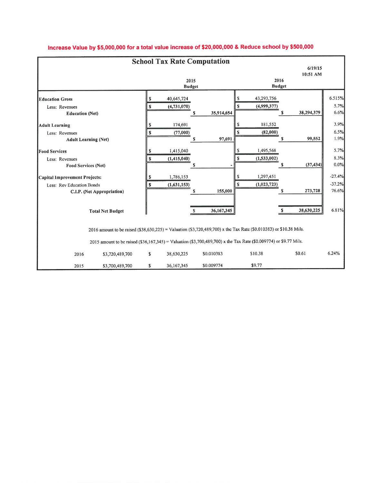|                                                                                                                    |                       | <b>School Tax Rate Computation</b> |    |            |                       |                          |   |                     |                               |  |
|--------------------------------------------------------------------------------------------------------------------|-----------------------|------------------------------------|----|------------|-----------------------|--------------------------|---|---------------------|-------------------------------|--|
|                                                                                                                    |                       |                                    |    |            |                       |                          |   | 6/19/15<br>10:51 AM |                               |  |
|                                                                                                                    | 2015<br><b>Budget</b> |                                    |    |            | 2016<br><b>Budget</b> |                          |   |                     |                               |  |
| <b>Education Gross</b>                                                                                             | S                     | 40,645,724                         |    |            |                       | 43,293,756               |   |                     | 6.515%                        |  |
| Less: Revenues<br><b>Education</b> (Net)                                                                           |                       | (4,731,070)                        | s  | 35,914,654 |                       | (4,999,377)              | S | 38,294,379          | 5.7%<br>6.6%                  |  |
| <b>Adult Learning</b><br>Less: Revenues<br><b>Adult Learning (Net)</b>                                             |                       | 174,691<br>(77,000)                | s  | 97,691     | S                     | 181,552<br>(82,000)      | S | 99,552              | 3.9%<br>6.5%<br>1.9%          |  |
| <b>Food Services</b><br>Less: Revenues<br><b>Food Services (Net)</b>                                               | s<br>s                | 1,415,040<br>(1,415,040)           | £. |            | S                     | 1,495,568<br>(1,533,002) | S | (37, 434)           | 5.7%<br>8.3%<br>0.0%          |  |
| Capital Improvement Projects:<br>Less: Rev Education Bonds<br>C.I.P. (Net Appropriation)                           |                       | 1,786,153<br>(1,631,153)           | S  | 155,000    | s<br>S                | 1,297,451<br>(1,023,723) | S | 273,728             | $-27.4%$<br>$-37.2%$<br>76.6% |  |
| <b>Total Net Budget</b>                                                                                            |                       |                                    | S  | 36,167,345 |                       |                          |   | 38,630,225          | 6.81%                         |  |
| 2016 amount to be raised (\$38,630,225) = Valuation (\$3,720,489,700) x the Tax Rate (\$0.010383) or \$10.38 Mils. |                       |                                    |    |            |                       |                          |   |                     |                               |  |
| 2015 amount to be raised (\$36,167,345) = Valuation (\$3,700,489,700) x the Tax Rate (\$0.009774) or \$9.77 Mils.  |                       |                                    |    |            |                       |                          |   |                     |                               |  |
| 2016<br>\$3,720,489,700                                                                                            | \$                    | 38,630,225                         |    | \$0.010383 | \$10.38               |                          |   | \$0.61              | 6.24%                         |  |
| \$3,700,489,700<br>2015                                                                                            | \$                    | 36,167,345                         |    | \$0.009774 | \$9.77                |                          |   |                     |                               |  |

## Increase Value by \$5,000,000 for a total value increase of \$20,000,000 & Reduce school by \$500,000